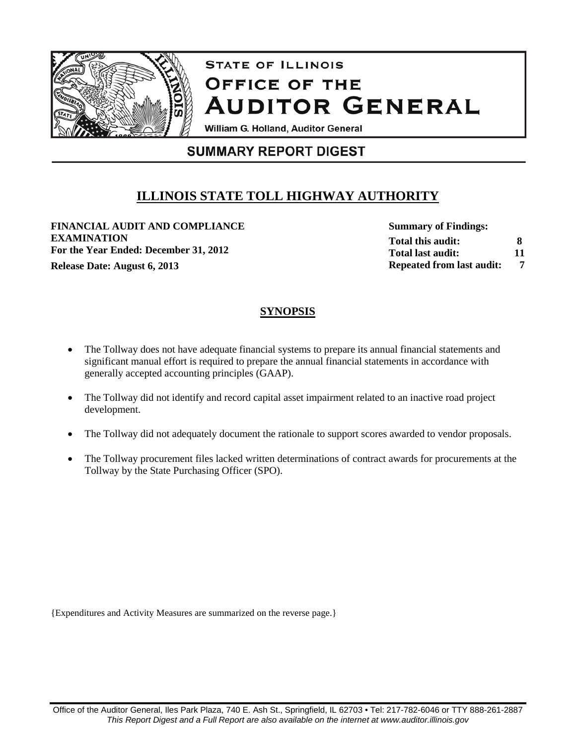

# **STATE OF ILLINOIS** OFFICE OF THE **AUDITOR GENERAL**

William G. Holland, Auditor General

## **SUMMARY REPORT DIGEST**

# **ILLINOIS STATE TOLL HIGHWAY AUTHORITY**

**FINANCIAL AUDIT AND COMPLIANCE EXAMINATION For the Year Ended: December 31, 2012 Release Date: August 6, 2013** *PHONE Repeated from last audit:* **7** 

**Summary of Findings: Total this audit: Total last audit: Repeated from last audit: 8 11**

### **SYNOPSIS**

- The Tollway does not have adequate financial systems to prepare its annual financial statements and significant manual effort is required to prepare the annual financial statements in accordance with generally accepted accounting principles (GAAP).
- The Tollway did not identify and record capital asset impairment related to an inactive road project development.
- The Tollway did not adequately document the rationale to support scores awarded to vendor proposals.
- The Tollway procurement files lacked written determinations of contract awards for procurements at the Tollway by the State Purchasing Officer (SPO).

{Expenditures and Activity Measures are summarized on the reverse page.}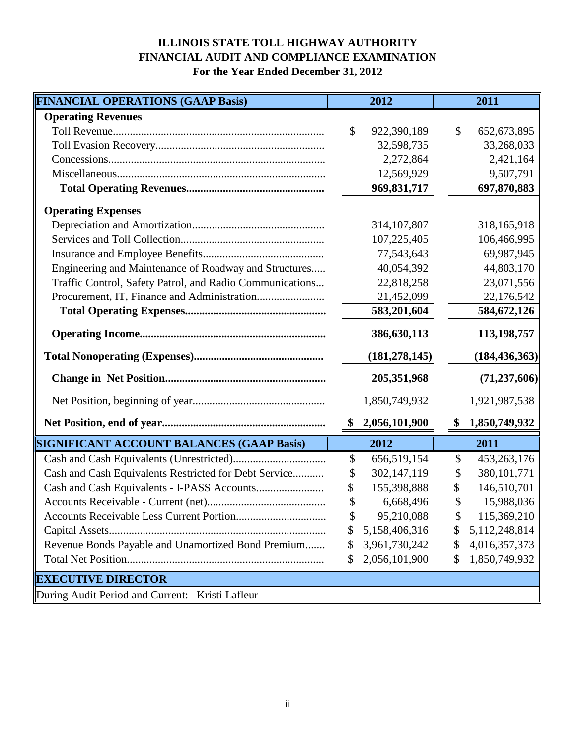### **ILLINOIS STATE TOLL HIGHWAY AUTHORITY FINANCIAL AUDIT AND COMPLIANCE EXAMINATION For the Year Ended December 31, 2012**

| <b>FINANCIAL OPERATIONS (GAAP Basis)</b>                 | 2012                  | 2011                   |
|----------------------------------------------------------|-----------------------|------------------------|
| <b>Operating Revenues</b>                                |                       |                        |
|                                                          | \$<br>922,390,189     | \$<br>652,673,895      |
|                                                          | 32,598,735            | 33,268,033             |
|                                                          | 2,272,864             | 2,421,164              |
|                                                          | 12,569,929            | 9,507,791              |
|                                                          | 969, 831, 717         | 697,870,883            |
| <b>Operating Expenses</b>                                |                       |                        |
|                                                          | 314, 107, 807         | 318,165,918            |
|                                                          | 107,225,405           | 106,466,995            |
|                                                          | 77,543,643            | 69,987,945             |
| Engineering and Maintenance of Roadway and Structures    | 40,054,392            | 44,803,170             |
| Traffic Control, Safety Patrol, and Radio Communications | 22,818,258            | 23,071,556             |
|                                                          | 21,452,099            | 22,176,542             |
|                                                          | 583,201,604           | 584,672,126            |
|                                                          | 386,630,113           | 113,198,757            |
|                                                          | (181, 278, 145)       | (184, 436, 363)        |
|                                                          | 205, 351, 968         | (71, 237, 606)         |
|                                                          | 1,850,749,932         | 1,921,987,538          |
|                                                          | 2,056,101,900<br>- \$ | 1,850,749,932<br>\$    |
| SIGNIFICANT ACCOUNT BALANCES (GAAP Basis)                | 2012                  | 2011                   |
|                                                          | 656,519,154<br>\$     | 453,263,176<br>\$      |
| Cash and Cash Equivalents Restricted for Debt Service    | 302,147,119<br>\$     | \$<br>380, 101, 771    |
|                                                          | 155,398,888<br>\$     | 146,510,701            |
|                                                          | \$<br>6,668,496       | 15,988,036<br>S        |
|                                                          | 95,210,088<br>\$      | 115,369,210<br>\$      |
|                                                          | 5,158,406,316<br>\$   | 5, 112, 248, 814<br>\$ |
| Revenue Bonds Payable and Unamortized Bond Premium       | 3,961,730,242<br>\$   | 4,016,357,373<br>\$    |
|                                                          | 2,056,101,900<br>\$   | 1,850,749,932<br>\$    |
| <b>EXECUTIVE DIRECTOR</b>                                |                       |                        |
| During Audit Period and Current: Kristi Lafleur          |                       |                        |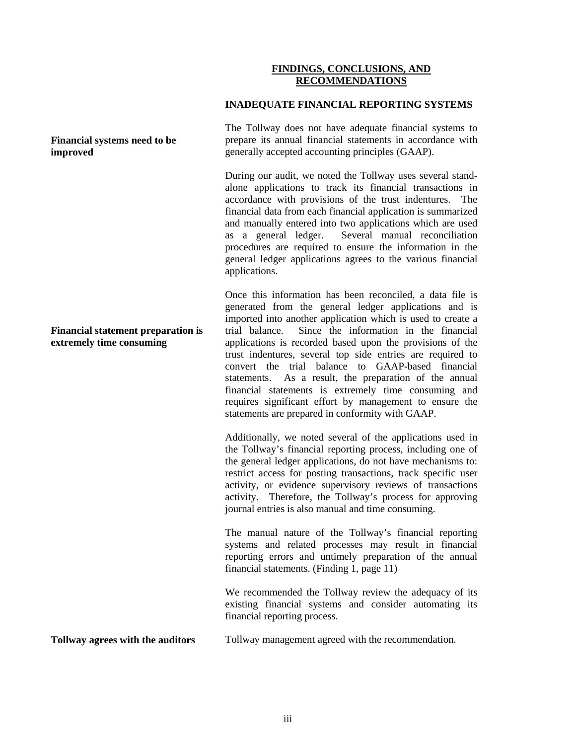#### **FINDINGS, CONCLUSIONS, AND RECOMMENDATIONS**

#### **INADEQUATE FINANCIAL REPORTING SYSTEMS**

The Tollway does not have adequate financial systems to prepare its annual financial statements in accordance with generally accepted accounting principles (GAAP).

During our audit, we noted the Tollway uses several standalone applications to track its financial transactions in accordance with provisions of the trust indentures. The financial data from each financial application is summarized and manually entered into two applications which are used as a general ledger. Several manual reconciliation procedures are required to ensure the information in the general ledger applications agrees to the various financial applications.

Once this information has been reconciled, a data file is generated from the general ledger applications and is imported into another application which is used to create a trial balance. Since the information in the financial applications is recorded based upon the provisions of the trust indentures, several top side entries are required to convert the trial balance to GAAP-based financial statements. As a result, the preparation of the annual financial statements is extremely time consuming and requires significant effort by management to ensure the statements are prepared in conformity with GAAP.

Additionally, we noted several of the applications used in the Tollway's financial reporting process, including one of the general ledger applications, do not have mechanisms to: restrict access for posting transactions, track specific user activity, or evidence supervisory reviews of transactions activity. Therefore, the Tollway's process for approving journal entries is also manual and time consuming.

The manual nature of the Tollway's financial reporting systems and related processes may result in financial reporting errors and untimely preparation of the annual financial statements. (Finding 1, page 11)

We recommended the Tollway review the adequacy of its existing financial systems and consider automating its financial reporting process.

**Tollway agrees with the auditors** Tollway management agreed with the recommendation.

#### **Financial systems need to be improved**

#### **Financial statement preparation is extremely time consuming**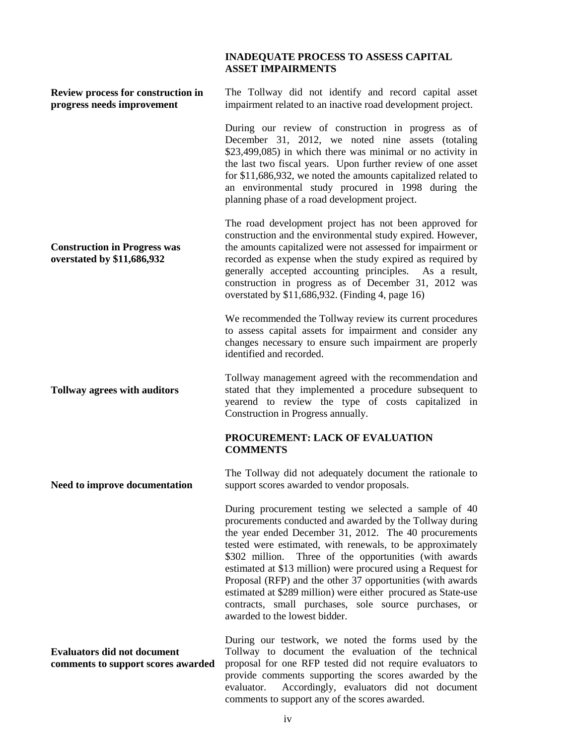#### **INADEQUATE PROCESS TO ASSESS CAPITAL ASSET IMPAIRMENTS**

| Review process for construction in<br>progress needs improvement         | The Tollway did not identify and record capital asset<br>impairment related to an inactive road development project.                                                                                                                                                                                                                                                                                                                                                                                                                                                                          |
|--------------------------------------------------------------------------|-----------------------------------------------------------------------------------------------------------------------------------------------------------------------------------------------------------------------------------------------------------------------------------------------------------------------------------------------------------------------------------------------------------------------------------------------------------------------------------------------------------------------------------------------------------------------------------------------|
|                                                                          | During our review of construction in progress as of<br>December 31, 2012, we noted nine assets (totaling<br>\$23,499,085) in which there was minimal or no activity in<br>the last two fiscal years. Upon further review of one asset<br>for \$11,686,932, we noted the amounts capitalized related to<br>an environmental study procured in 1998 during the<br>planning phase of a road development project.                                                                                                                                                                                 |
| <b>Construction in Progress was</b><br>overstated by \$11,686,932        | The road development project has not been approved for<br>construction and the environmental study expired. However,<br>the amounts capitalized were not assessed for impairment or<br>recorded as expense when the study expired as required by<br>generally accepted accounting principles. As a result,<br>construction in progress as of December 31, 2012 was<br>overstated by \$11,686,932. (Finding 4, page 16)                                                                                                                                                                        |
|                                                                          | We recommended the Tollway review its current procedures<br>to assess capital assets for impairment and consider any<br>changes necessary to ensure such impairment are properly<br>identified and recorded.                                                                                                                                                                                                                                                                                                                                                                                  |
| <b>Tollway agrees with auditors</b>                                      | Tollway management agreed with the recommendation and<br>stated that they implemented a procedure subsequent to<br>yearend to review the type of costs capitalized in<br>Construction in Progress annually.                                                                                                                                                                                                                                                                                                                                                                                   |
|                                                                          | PROCUREMENT: LACK OF EVALUATION<br><b>COMMENTS</b>                                                                                                                                                                                                                                                                                                                                                                                                                                                                                                                                            |
| Need to improve documentation                                            | The Tollway did not adequately document the rationale to<br>support scores awarded to vendor proposals.                                                                                                                                                                                                                                                                                                                                                                                                                                                                                       |
|                                                                          | During procurement testing we selected a sample of 40<br>procurements conducted and awarded by the Tollway during<br>the year ended December 31, 2012. The 40 procurements<br>tested were estimated, with renewals, to be approximately<br>Three of the opportunities (with awards<br>\$302 million.<br>estimated at \$13 million) were procured using a Request for<br>Proposal (RFP) and the other 37 opportunities (with awards<br>estimated at \$289 million) were either procured as State-use<br>contracts, small purchases, sole source purchases, or<br>awarded to the lowest bidder. |
| <b>Evaluators did not document</b><br>comments to support scores awarded | During our testwork, we noted the forms used by the<br>Tollway to document the evaluation of the technical<br>proposal for one RFP tested did not require evaluators to<br>provide comments supporting the scores awarded by the<br>evaluator.<br>Accordingly, evaluators did not document<br>comments to support any of the scores awarded.                                                                                                                                                                                                                                                  |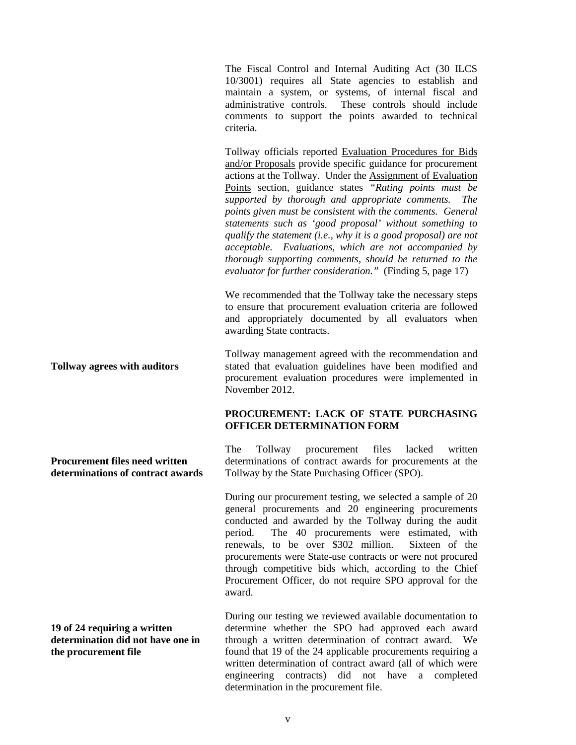The Fiscal Control and Internal Auditing Act (30 ILCS 10/3001) requires all State agencies to establish and maintain a system, or systems, of internal fiscal and administrative controls. These controls should include comments to support the points awarded to technical criteria.

Tollway officials reported Evaluation Procedures for Bids and/or Proposals provide specific guidance for procurement actions at the Tollway. Under the Assignment of Evaluation Points section, guidance states *"Rating points must be supported by thorough and appropriate comments. The points given must be consistent with the comments. General statements such as 'good proposal' without something to qualify the statement (i.e., why it is a good proposal) are not acceptable. Evaluations, which are not accompanied by thorough supporting comments, should be returned to the evaluator for further consideration."* (Finding 5, page 17)

We recommended that the Tollway take the necessary steps to ensure that procurement evaluation criteria are followed and appropriately documented by all evaluators when awarding State contracts.

Tollway management agreed with the recommendation and stated that evaluation guidelines have been modified and procurement evaluation procedures were implemented in November 2012.

#### **PROCUREMENT: LACK OF STATE PURCHASING OFFICER DETERMINATION FORM**

The Tollway procurement files lacked written determinations of contract awards for procurements at the Tollway by the State Purchasing Officer (SPO).

During our procurement testing, we selected a sample of 20 general procurements and 20 engineering procurements conducted and awarded by the Tollway during the audit period. The 40 procurements were estimated, with renewals, to be over \$302 million. Sixteen of the procurements were State-use contracts or were not procured through competitive bids which, according to the Chief Procurement Officer, do not require SPO approval for the award.

**19 of 24 requiring a written determination did not have one in the procurement file**

During our testing we reviewed available documentation to determine whether the SPO had approved each award through a written determination of contract award. We found that 19 of the 24 applicable procurements requiring a written determination of contract award (all of which were engineering contracts) did not have a completed determination in the procurement file.

**Tollway agrees with auditors**

**Procurement files need written determinations of contract awards**